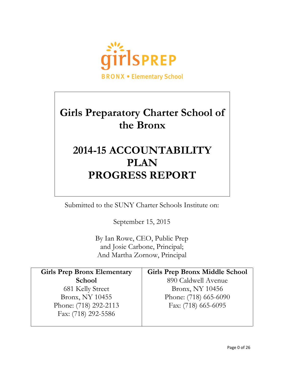

# **Girls Preparatory Charter School of the Bronx**

# **2014-15 ACCOUNTABILITY PLAN PROGRESS REPORT**

Submitted to the SUNY Charter Schools Institute on:

September 15, 2015

By Ian Rowe, CEO, Public Prep and Josie Carbone, Principal; And Martha Zornow, Principal

| <b>Girls Prep Bronx Elementary</b> | <b>Girls Prep Bronx Middle School</b> |
|------------------------------------|---------------------------------------|
| <b>School</b>                      | 890 Caldwell Avenue                   |
| 681 Kelly Street                   | Bronx, NY 10456                       |
| Bronx, NY 10455                    | Phone: (718) 665-6090                 |
| Phone: (718) 292-2113              | Fax: (718) 665-6095                   |
| Fax: (718) 292-5586                |                                       |
|                                    |                                       |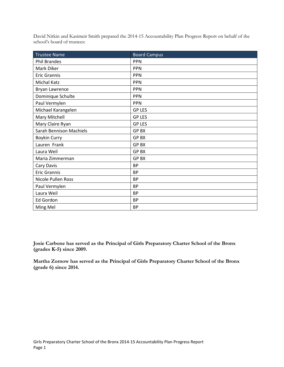David Nitkin and Kasimeir Smith prepared the 2014-15 Accountability Plan Progress Report on behalf of the school's board of trustees:

| <b>Trustee Name</b>            | <b>Board Campus</b> |
|--------------------------------|---------------------|
| <b>Phil Brandes</b>            | <b>PPN</b>          |
| Mark Diker                     | <b>PPN</b>          |
| <b>Eric Grannis</b>            | <b>PPN</b>          |
| <b>Michal Katz</b>             | <b>PPN</b>          |
| Bryan Lawrence                 | <b>PPN</b>          |
| Dominique Schulte              | <b>PPN</b>          |
| Paul Vermylen                  | <b>PPN</b>          |
| Michael Karangelen             | <b>GP LES</b>       |
| Mary Mitchell                  | <b>GP LES</b>       |
| Mary Claire Ryan               | <b>GP LES</b>       |
| <b>Sarah Bennison Machiels</b> | <b>GPBX</b>         |
| Boykin Curry                   | <b>GPBX</b>         |
| Lauren Frank                   | <b>GPBX</b>         |
| Laura Weil                     | <b>GPBX</b>         |
| Maria Zimmerman                | GP BX               |
| Cary Davis                     | <b>BP</b>           |
| <b>Eric Grannis</b>            | <b>BP</b>           |
| Nicole Pullen Ross             | <b>BP</b>           |
| Paul Vermylen                  | <b>BP</b>           |
| Laura Weil                     | <b>BP</b>           |
| Ed Gordon                      | <b>BP</b>           |
| Ming Mel                       | <b>BP</b>           |

**Josie Carbone has served as the Principal of Girls Preparatory Charter School of the Bronx (grades K-5) since 2009.**

**Martha Zornow has served as the Principal of Girls Preparatory Charter School of the Bronx (grade 6) since 2014.**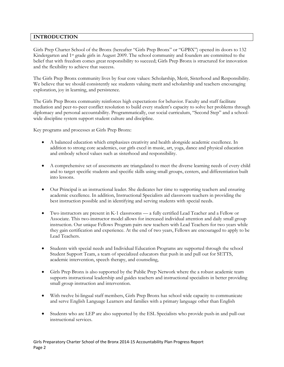# **INTRODUCTION**

Girls Prep Charter School of the Bronx (hereafter "Girls Prep Bronx" or "GPBX") opened its doors to 132 Kindergarten and 1<sup>st</sup> grade girls in August 2009. The school community and founders are committed to the belief that with freedom comes great responsibility to succeed; Girls Prep Bronx is structured for innovation and the flexibility to achieve that success.

The Girls Prep Bronx community lives by four core values: Scholarship, Merit, Sisterhood and Responsibility. We believe that we should consistently see students valuing merit and scholarship and teachers encouraging exploration, joy in learning, and persistence.

The Girls Prep Bronx community reinforces high expectations for behavior. Faculty and staff facilitate mediation and peer-to-peer conflict resolution to build every student's capacity to solve her problems through diplomacy and personal accountability. Programmatically, our social curriculum, "Second Step" and a schoolwide discipline system support student culture and discipline.

Key programs and processes at Girls Prep Bronx:

- A balanced education which emphasizes creativity and health alongside academic excellence. In addition to strong core academics, our girls excel in music, art, yoga, dance and physical education and embody school values such as sisterhood and responsibility.
- A comprehensive set of assessments are triangulated to meet the diverse learning needs of every child and to target specific students and specific skills using small groups, centers, and differentiation built into lessons.
- Our Principal is an instructional leader. She dedicates her time to supporting teachers and ensuring academic excellence. In addition, Instructional Specialists aid classroom teachers in providing the best instruction possible and in identifying and serving students with special needs.
- Two instructors are present in K-1 classrooms a fully certified Lead Teacher and a Fellow or Associate. This two-instructor model allows for increased individual attention and daily small group instruction. Our unique Fellows Program pairs new teachers with Lead Teachers for two years while they gain certification and experience. At the end of two years, Fellows are encouraged to apply to be Lead Teachers.
- Students with special needs and Individual Education Programs are supported through the school Student Support Team, a team of specialized educators that push in and pull out for SETTS, academic intervention, speech therapy, and counseling,
- Girls Prep Bronx is also supported by the Public Prep Network where the a robust academic team supports instructional leadership and guides teachers and instructional specialists in better providing small group instruction and intervention.
- With twelve bi-lingual staff members, Girls Prep Bronx has school wide capacity to communicate and serve English Language Learners and families with a primary language other than English
- Students who are LEP are also supported by the ESL Specialists who provide push-in and pull-out instructional services.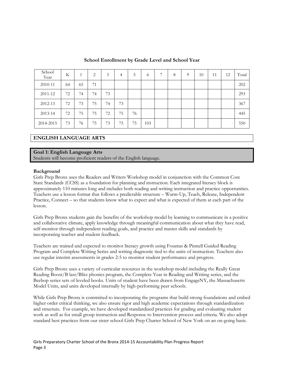| School<br>Year | K  |    | 2  | 3  | 4  | $\mathcal{L}$ | 6   | 7 | 8 | $\Omega$ | 10 | 11 | 12 | Total |
|----------------|----|----|----|----|----|---------------|-----|---|---|----------|----|----|----|-------|
| 2010-11        | 64 | 65 | 71 |    |    |               |     |   |   |          |    |    |    | 202   |
| 2011-12        | 72 | 74 | 74 | 73 |    |               |     |   |   |          |    |    |    | 293   |
| 2012-13        | 72 | 73 | 75 | 74 | 73 |               |     |   |   |          |    |    |    | 367   |
| 2013-14        | 72 | 75 | 75 | 72 | 75 | 76            |     |   |   |          |    |    |    | 445   |
| 2014-2015      | 73 | 76 | 75 | 73 | 75 | 75            | 103 |   |   |          |    |    |    | 550   |

#### **School Enrollment by Grade Level and School Year**

# **ENGLISH LANGUAGE ARTS**

#### **Goal 1: English Language Arts**

Students will become proficient readers of the English language.

#### **Background**

Girls Prep Bronx uses the Readers and Writers Workshop model in conjunction with the Common Core State Standards (CCSS) as a foundation for planning and instruction. Each integrated literacy block is approximately 110 minutes long and includes both reading and writing instruction and practice opportunities. Teachers use a lesson format that follows a predictable structure – Warm-Up, Teach, Release, Independent Practice, Connect – so that students know what to expect and what is expected of them at each part of the lesson.

Girls Prep Bronx students gain the benefits of the workshop model by learning to communicate in a positive and collaborative climate, apply knowledge through meaningful communication about what they have read, self-monitor through independent reading goals, and practice and master skills and standards by incorporating teacher and student feedback.

Teachers are trained and expected to monitor literacy growth using Fountas & Pinnell Guided Reading Program and Complete Writing Series and writing diagnostic tied to the units of instruction. Teachers also use regular interim assessments in grades 2-5 to monitor student performance and progress.

Girls Prep Bronx uses a variety of curricular resources in the workshop model including the Really Great Reading Boost/B last/Blitz phonics program, the Complete Year in Reading and Writing series, and the Beebop series sets of leveled books. Units of student have been drawn from EngageNY, the Massachusetts Model Units, and units developed internally by high-performing peer schools.

While Girls Prep Bronx is committed to incorporating the programs that build strong foundations and embed higher order critical thinking, we also ensure rigor and high academic expectations through standardization and structure. For example, we have developed standardized practices for grading and evaluating student work as well as for small group instruction and Response to Intervention process and criteria. We also adopt standard best practices from our sister school Girls Prep Charter School of New York on an on-going basis.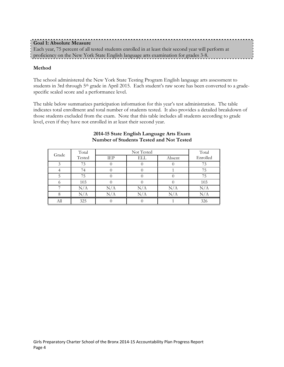| <b>Goal 1: Absolute Measure</b>                                                                     |  |
|-----------------------------------------------------------------------------------------------------|--|
| Each year, 75 percent of all tested students enrolled in at least their second year will perform at |  |
| proficiency on the New York State English language arts examination for grades 3-8.                 |  |

# **Method**

The school administered the New York State Testing Program English language arts assessment to students in 3rd through 5<sup>th</sup> grade in April 2015. Each student's raw score has been converted to a gradespecific scaled score and a performance level.

The table below summarizes participation information for this year's test administration. The table indicates total enrollment and total number of students tested. It also provides a detailed breakdown of those students excluded from the exam. Note that this table includes all students according to grade level, even if they have not enrolled in at least their second year.

| Grade | Total     |           | Not Tested |           |          |  |  |  |  |
|-------|-----------|-----------|------------|-----------|----------|--|--|--|--|
|       | Tested    | IEP       | ELL        | Absent    | Enrolled |  |  |  |  |
|       | 73        |           |            |           | 73       |  |  |  |  |
|       | 74        |           |            |           | 75       |  |  |  |  |
|       | 75        |           |            |           | 75       |  |  |  |  |
|       | 103       |           |            |           | 103      |  |  |  |  |
|       | N/A       | $\rm N/A$ | N/A        | N/A       | N/A      |  |  |  |  |
|       | $\rm N/A$ | N/A       | N/A        | $\rm N/A$ | N/A      |  |  |  |  |
| All   | 325       |           |            |           | 326      |  |  |  |  |

#### **2014-15 State English Language Arts Exam Number of Students Tested and Not Tested**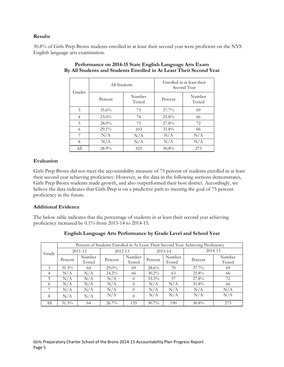#### **Results**

30.8% of Girls Prep Bronx students enrolled in at least their second year were proficient on the NYS English language arts examination.

| Grades | All Students |                  | Enrolled in at least their<br>Second Year |                  |  |  |
|--------|--------------|------------------|-------------------------------------------|------------------|--|--|
|        | Percent      | Number<br>Tested | Percent                                   | Number<br>Tested |  |  |
| 3      | $35.6\%$     | 73               | $37.7\%$                                  | 69               |  |  |
| 4      | $23.0\%$     | 74               | 25.8%                                     | 66               |  |  |
| 5      | 28.0%        | 75               | 27.8%                                     | 72               |  |  |
| 6      | $29.1\%$     | 103              | 31.8%                                     | 66               |  |  |
| 7      | N/A          | N/A              | N/A                                       | N/A              |  |  |
| 8      | N/A          | N/A              | N/A                                       | N/A              |  |  |
| All    | 28.9%        | 325              | 30.8%                                     | 273              |  |  |

#### **Performance on 2014-15 State English Language Arts Exam By All Students and Students Enrolled in At Least Their Second Year**

# **Evaluation**

Girls Prep Bronx did not meet the accountability measure of 75 percent of students enrolled in at least their second year achieving proficiency. However, as the data in the following sections demonstrates, Girls Prep Bronx students made growth, and also outperformed their host district. Accordingly, we believe the data indicates that Girls Prep is on a predictive path to meeting the goal of 75 percent proficiency in the future.

# **Additional Evidence**

The below table indicates that the percentage of students in at least their second year achieving proficiency increased by 0.1% from 2013-14 to 2014-15.

|       |          |                  |          |                  | Percent of Students Enrolled in At Least Their Second Year Achieving Proficiency |                  |          |                  |  |
|-------|----------|------------------|----------|------------------|----------------------------------------------------------------------------------|------------------|----------|------------------|--|
| Grade |          | 2011-12          | 2012-13  |                  |                                                                                  | $2013 - 14$      | 2014-15  |                  |  |
|       | Percent  | Number<br>Tested | Percent  | Number<br>Tested | Percent                                                                          | Number<br>Tested | Percent  | Number<br>Tested |  |
| 3     | $31.3\%$ | 64               | $29.0\%$ | 69               | $28.6\%$                                                                         | 70               | $37.7\%$ | 69               |  |
| 4     | N/A      | N/A              | $24.2\%$ | 66               | $30.2\%$                                                                         | 63               | 25.8%    | 66               |  |
| 5     | N/A      | N/A              | N/A      | $\theta$         | $33.3\%$                                                                         | 57               | 27.8%    | 72               |  |
| 6     | N/A      | N/A              | N/A      | $\theta$         | N/A                                                                              | N/A              | 31.8%    | 66               |  |
|       | N/A      | N/A              | N/A      | $\theta$         | N/A                                                                              | N/A              | N/A      | N/A              |  |
| 8     | N/A      | N/A              | N/A      | $\theta$         | N/A                                                                              | N/A              | N/A      | N/A              |  |
| All   | $31.3\%$ | 64               | $26.7\%$ | 135              | $30.7\%$                                                                         | 190              | $30.8\%$ | 273              |  |

# **English Language Arts Performance by Grade Level and School Year**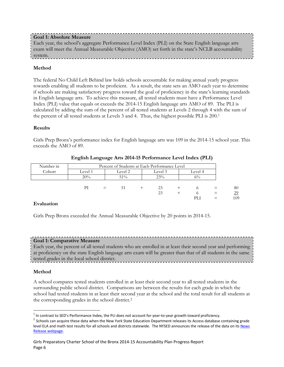# **Goal 1: Absolute Measure**

Each year, the school's aggregate Performance Level Index (PLI) on the State English language arts exam will meet the Annual Measurable Objective (AMO) set forth in the state's NCLB accountability system.

# **Method**

The federal No Child Left Behind law holds schools accountable for making annual yearly progress towards enabling all students to be proficient. As a result, the state sets an AMO each year to determine if schools are making satisfactory progress toward the goal of proficiency in the state's learning standards in English language arts. To achieve this measure, all tested students must have a Performance Level Index (PLI) value that equals or exceeds the 2014-15 English language arts AMO of 89. The PLI is calculated by adding the sum of the percent of all tested students at Levels 2 through 4 with the sum of the percent of all tested students at Levels 3 and 4. Thus, the highest possible PLI is 200.[1](#page-6-0)

# **Results**

Girls Prep Bronx's performance index for English language arts was 109 in the 2014-15 school year. This exceeds the AMO of 89.

| Number in | Percent of Students at Each Performance Level |     |                               |  |     |  |       |          |     |
|-----------|-----------------------------------------------|-----|-------------------------------|--|-----|--|-------|----------|-----|
| Cohort    | Level 1                                       |     | Level 2<br>Level 3<br>Level 4 |  |     |  |       |          |     |
|           | 20%                                           |     | $51\%$                        |  | 23% |  | $6\%$ |          |     |
|           |                                               |     |                               |  |     |  |       |          |     |
|           | РI                                            | $=$ | 51                            |  | 23  |  |       | $\equiv$ | 80  |
|           |                                               |     |                               |  | 23  |  |       | $=$      | 29  |
|           |                                               |     |                               |  |     |  | PLI   |          | 109 |

#### **English Language Arts 2014-15 Performance Level Index (PLI)**

#### **Evaluation**

Girls Prep Bronx exceeded the Annual Measurable Objective by 20 points in 2014-15.

# **Goal 1: Comparative Measure**

Each year, the percent of all tested students who are enrolled in at least their second year and performing at proficiency on the state English language arts exam will be greater than that of all students in the same tested grades in the local school district.

# **Method**

A school compares tested students enrolled in at least their second year to all tested students in the surrounding public school district. Comparisons are between the results for each grade in which the school had tested students in at least their second year at the school and the total result for all students at the corresponding grades in the school district.[2](#page-6-1)

 $1$  In contrast to SED's Performance Index, the PLI does not account for year-to-year growth toward proficiency.  $\overline{a}$ 

<span id="page-6-1"></span><span id="page-6-0"></span><sup>2</sup> Schools can acquire these data when the New York State Education Department releases its Access database containing grade level ELA and math test results for all schools and districts statewide. The NYSED announces the release of the data on its News [Release webpage.](http://www.oms.nysed.gov/press/)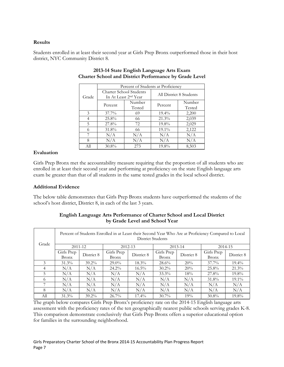# **Results**

Students enrolled in at least their second year at Girls Prep Bronx outperformed those in their host district, NYC Community District 8.

|       |            | Percent of Students at Proficiency                                 |                         |                  |  |  |  |  |  |  |
|-------|------------|--------------------------------------------------------------------|-------------------------|------------------|--|--|--|--|--|--|
| Grade |            | <b>Charter School Students</b><br>In At Least 2 <sup>nd</sup> Year | All District 8 Students |                  |  |  |  |  |  |  |
|       | Percent    | Number<br>Tested                                                   | Percent                 | Number<br>Tested |  |  |  |  |  |  |
| 3     | $37.7\%$   | 69                                                                 | $19.4\%$                | 2,200            |  |  |  |  |  |  |
| 4     | $25.8\%$   | 66                                                                 | $21.3\%$                | 2,039            |  |  |  |  |  |  |
| 5     | 27.8%      | 72                                                                 | 19.8%                   | 2,029            |  |  |  |  |  |  |
| 6     | 31.8%      | 66                                                                 | $19.1\%$                | 2,122            |  |  |  |  |  |  |
|       | N/A        | N/A                                                                | N/A                     | N/A              |  |  |  |  |  |  |
| 8     | N/A<br>N/A |                                                                    | N/A                     | N/A              |  |  |  |  |  |  |
| All   | 30.8%      | 273                                                                | 19.8%                   | 8,503            |  |  |  |  |  |  |

# **2013-14 State English Language Arts Exam Charter School and District Performance by Grade Level**

# **Evaluation**

Girls Prep Bronx met the accountability measure requiring that the proportion of all students who are enrolled in at least their second year and performing at proficiency on the state English language arts exam be greater than that of all students in the same tested grades in the local school district.

# **Additional Evidence**

The below table demonstrates that Girls Prep Bronx students have outperformed the students of the school's host district, District 8, in each of the last 3 years.

|               |                     | Percent of Students Enrolled in at Least their Second Year Who Are at Proficiency Compared to Local<br>District Students |                            |            |                            |             |                            |            |  |  |  |  |
|---------------|---------------------|--------------------------------------------------------------------------------------------------------------------------|----------------------------|------------|----------------------------|-------------|----------------------------|------------|--|--|--|--|
| Grade         | $2011 - 12$         |                                                                                                                          | 2012-13                    |            |                            | $2013 - 14$ |                            | 2014-15    |  |  |  |  |
|               | Girls Prep<br>Bronx | District 8                                                                                                               | Girls Prep<br><b>Bronx</b> | District 8 | Girls Prep<br><b>Bronx</b> | District 8  | Girls Prep<br><b>Bronx</b> | District 8 |  |  |  |  |
| $\mathcal{E}$ | $31.3\%$            | $39.2\%$                                                                                                                 | $29.0\%$                   | $18.3\%$   | $28.6\%$                   | 20%         | $37.7\%$                   | $19.4\%$   |  |  |  |  |
| 4             | N/A                 | N/A                                                                                                                      | $24.2\%$                   | $16.5\%$   | $30.2\%$                   | 20%         | $25.8\%$                   | 21.3%      |  |  |  |  |
| 5             | N/A                 | N/A                                                                                                                      | N/A                        | N/A        | $33.3\%$                   | 18%         | 27.8%                      | $19.8\%$   |  |  |  |  |
| 6             | N/A                 | N/A                                                                                                                      | N/A                        | N/A        | N/A                        | N/A         | $31.8\%$                   | $19.1\%$   |  |  |  |  |
|               | N/A                 | N/A                                                                                                                      | N/A                        | N/A        | N/A                        | N/A         | N/A                        | N/A        |  |  |  |  |
| 8             | N/A                 | N/A                                                                                                                      | N/A                        | N/A        | N/A                        | N/A         | N/A                        | N/A        |  |  |  |  |
| Аll           | $31.3\%$            | $39.2\%$                                                                                                                 | $26.7\%$                   | $17.4\%$   | $30.7\%$                   | 19%         | $30.8\%$                   | 19.8%      |  |  |  |  |

# **English Language Arts Performance of Charter School and Local District by Grade Level and School Year**

The graph below compares Girls Prep Bronx's proficiency rate on the 2014-15 English language arts assessment with the proficiency rates of the ten geographically nearest public schools serving grades K-8. This comparison demonstrate conclusively that Girls Prep Bronx offers a superior educational option for families in the surrounding neighborhood.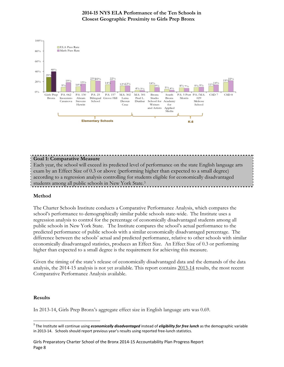

# **Goal 1: Comparative Measure** Each year, the school will exceed its predicted level of performance on the state English language arts exam by an Effect Size of 0.3 or above (performing higher than expected to a small degree) according to a regression analysis controlling for students eligible for economically disadvantaged students among all public schools in New York State[.3](#page-8-0)

#### **Method**

The Charter Schools Institute conducts a Comparative Performance Analysis, which compares the school's performance to demographically similar public schools state-wide. The Institute uses a regression analysis to control for the percentage of economically disadvantaged students among all public schools in New York State. The Institute compares the school's actual performance to the predicted performance of public schools with a similar economically disadvantaged percentage. The difference between the schools' actual and predicted performance, relative to other schools with similar economically disadvantaged statistics, produces an Effect Size. An Effect Size of 0.3 or performing higher than expected to a small degree is the requirement for achieving this measure.

Given the timing of the state's release of economically disadvantaged data and the demands of the data analysis, the 2014-15 analysis is not yet available. This report contains 2013-14 results, the most recent Comparative Performance Analysis available.

#### **Results**

 $\overline{a}$ 

In 2013-14, Girls Prep Bronx's aggregate effect size in English language arts was 0.69.

<span id="page-8-0"></span><sup>3</sup> The Institute will continue using *economically disadvantaged* instead of *eligibility for free lunch* as the demographic variable in 2013-14. Schools should report previous year's results using reported free-lunch statistics.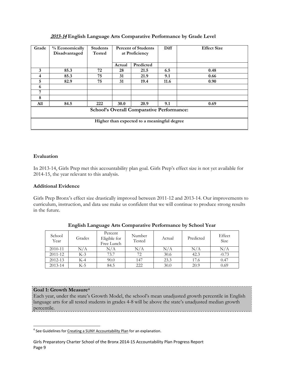| Grade                                            | % Economically<br>Disadvantaged | <b>Students</b><br><b>Tested</b> | <b>Percent of Students</b><br>at Proficiency |           | Diff | <b>Effect Size</b> |  |  |
|--------------------------------------------------|---------------------------------|----------------------------------|----------------------------------------------|-----------|------|--------------------|--|--|
|                                                  |                                 |                                  | Actual                                       | Predicted |      |                    |  |  |
| 3                                                | 85.3                            | 72                               | 28                                           | 21.5      | 6.5  | 0.48               |  |  |
| 4                                                | 85.3                            | 75                               | 31                                           | 21.9      | 9.1  | 0.66               |  |  |
| 5                                                | 82.9                            | 75                               | 31                                           | 19.4      | 11.6 | 0.90               |  |  |
| 6                                                |                                 |                                  |                                              |           |      |                    |  |  |
| 7                                                |                                 |                                  |                                              |           |      |                    |  |  |
| 8                                                |                                 |                                  |                                              |           |      |                    |  |  |
| All                                              | 84.5                            | 222                              | <b>30.0</b>                                  | 20.9      | 9.1  | 0.69               |  |  |
| <b>School's Overall Comparative Performance:</b> |                                 |                                  |                                              |           |      |                    |  |  |
| Higher than expected to a meaningful degree      |                                 |                                  |                                              |           |      |                    |  |  |

# 2013-14 **English Language Arts Comparative Performance by Grade Level**

#### **Evaluation**

In 2013-14, Girls Prep met this accountability plan goal. Girls Prep's effect size is not yet available for 2014-15, the year relevant to this analysis.

# **Additional Evidence**

Girls Prep Bronx's effect size drastically improved between 2011-12 and 2013-14. Our improvements to curriculum, instruction, and data use make us confident that we will continue to produce strong results in the future.

| School<br>Year | Grades | Percent<br>Eligible for<br>Free Lunch | Number<br>Tested | Actual | Predicted | Effect<br>Size |
|----------------|--------|---------------------------------------|------------------|--------|-----------|----------------|
| 2010-11        | N/A    | N/A                                   | N/A              | N/A    | N/A       | $\rm N/A$      |
| 2011-12        | $K-3$  | 73.7                                  | 72               | 30.6   | 42.3      | $-0.73$        |
| $2012 - 13$    | K-4    | 90.0                                  | 147              | 23.3   | 17.6      | 0.47           |
| 2013-14        | K-5    | 84.5                                  | 222              | 30.0   | 20.9      | 0.69           |

|  | English Language Arts Comparative Performance by School Year |  |  |
|--|--------------------------------------------------------------|--|--|
|  |                                                              |  |  |
|  |                                                              |  |  |
|  |                                                              |  |  |

#### **Goal 1: Growth Measure[4](#page-9-0)**

Each year, under the state's Growth Model, the school's mean unadjusted growth percentile in English language arts for all tested students in grades 4-8 will be above the state's unadjusted median growth percentile.

<span id="page-9-0"></span><sup>&</sup>lt;sup>4</sup> See Guidelines fo[r Creating a SUNY Accountability Plan](http://www.newyorkcharters.org/operate/first-year-schools/accountability-plan/) for an explanation.  $\overline{a}$ 

Girls Preparatory Charter School of the Bronx 2014-15 Accountability Plan Progress Report Page 9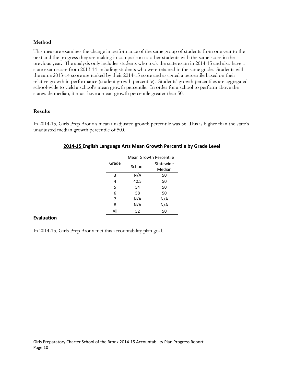## **Method**

This measure examines the change in performance of the same group of students from one year to the next and the progress they are making in comparison to other students with the same score in the previous year. The analysis only includes students who took the state exam in 2014-15 and also have a state exam score from 2013-14 including students who were retained in the same grade. Students with the same 2013-14 score are ranked by their 2014-15 score and assigned a percentile based on their relative growth in performance (student growth percentile). Students' growth percentiles are aggregated school-wide to yield a school's mean growth percentile. In order for a school to perform above the statewide median, it must have a mean growth percentile greater than 50.

#### **Results**

In 2014-15, Girls Prep Bronx's mean unadjusted growth percentile was 56. This is higher than the state's unadjusted median growth percentile of 50.0

|       | <b>Mean Growth Percentile</b> |           |  |  |  |
|-------|-------------------------------|-----------|--|--|--|
| Grade | School                        | Statewide |  |  |  |
|       |                               | Median    |  |  |  |
| 3     | N/A                           | 50        |  |  |  |
| 4     | 40.5                          | 50        |  |  |  |
| 5     | 54                            | 50        |  |  |  |
| 6     | 58                            | 50        |  |  |  |
| 7     | N/A                           | N/A       |  |  |  |
| 8     | N/A                           | N/A       |  |  |  |
| All   | 52                            | 50        |  |  |  |

#### **2014-15 English Language Arts Mean Growth Percentile by Grade Level**

#### **Evaluation**

In 2014-15, Girls Prep Bronx met this accountability plan goal.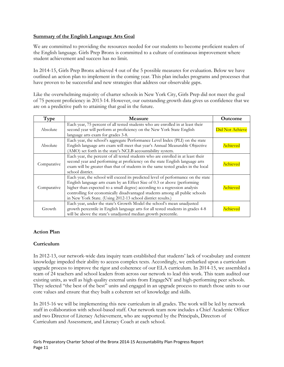# **Summary of the English Language Arts Goal**

We are committed to providing the resources needed for our students to become proficient readers of the English language. Girls Prep Bronx is committed to a culture of continuous improvement where student achievement and success has no limit.

In 2014-15, Girls Prep Bronx achieved 4 out of the 5 possible measures for evaluation. Below we have outlined an action plan to implement in the coming year. This plan includes programs and processes that have proven to be successful and new strategies that address our observable gaps.

Like the overwhelming majority of charter schools in New York City, Girls Prep did not meet the goal of 75 percent proficiency in 2013-14. However, our outstanding growth data gives us confidence that we are on a predictive path to attaining that goal in the future.

| Type        | <b>Measure</b>                                                                                                                                                                                                                                                                                                                                                                             | Outcome         |
|-------------|--------------------------------------------------------------------------------------------------------------------------------------------------------------------------------------------------------------------------------------------------------------------------------------------------------------------------------------------------------------------------------------------|-----------------|
| Absolute    | Each year, 75 percent of all tested students who are enrolled in at least their<br>second year will perform at proficiency on the New York State English<br>language arts exam for grades 3-8.                                                                                                                                                                                             | Did Not Achieve |
| Absolute    | Each year, the school's aggregate Performance Level Index (PLI) on the state<br>English language arts exam will meet that year's Annual Measurable Objective<br>(AMO) set forth in the state's NCLB accountability system.                                                                                                                                                                 | Achieved        |
| Comparative | Each year, the percent of all tested students who are enrolled in at least their<br>second year and performing at proficiency on the state English language arts<br>exam will be greater than that of students in the same tested grades in the local<br>school district.                                                                                                                  | <u>chievec</u>  |
| Comparative | Each year, the school will exceed its predicted level of performance on the state<br>English language arts exam by an Effect Size of 0.3 or above (performing<br>higher than expected to a small degree) according to a regression analysis<br>controlling for economically disadvantaged students among all public schools<br>in New York State. (Using 2012-13 school district results.) | Achieved        |
| Growth      | Each year, under the state's Growth Model the school's mean unadjusted<br>growth percentile in English language arts for all tested students in grades 4-8<br>will be above the state's unadjusted median growth percentile.                                                                                                                                                               | Achieved        |

# **Action Plan**

# **Curriculum**

In 2012-13, our network-wide data inquiry team established that students' lack of vocabulary and content knowledge impeded their ability to access complex texts. Accordingly, we embarked upon a curriculum upgrade process to improve the rigor and coherence of our ELA curriculum. In 2014-15, we assembled a team of 24 teachers and school leaders from across our network to lead this work. This team audited our existing units, as well as high quality external units from EngageNY and high-performing peer schools. They selected "the best of the best" units and engaged in an upgrade process to match those units to our core values and ensure that they built a coherent set of knowledge and skills.

In 2015-16 we will be implementing this new curriculum in all grades. The work will be led by network staff in collaboration with school-based staff. Our network team now includes a Chief Academic Officer and two Director of Literacy Achievement, who are supported by the Principals, Directors of Curriculum and Assessment, and Literacy Coach at each school.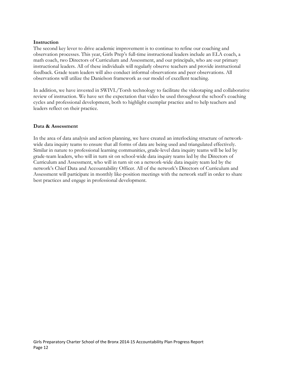#### **Instruction**

The second key lever to drive academic improvement is to continue to refine our coaching and observation processes. This year, Girls Prep's full-time instructional leaders include an ELA coach, a math coach, two Directors of Curriculum and Assessment, and our principals, who are our primary instructional leaders. All of these individuals will regularly observe teachers and provide instructional feedback. Grade team leaders will also conduct informal observations and peer observations. All observations will utilize the Danielson framework as our model of excellent teaching.

In addition, we have invested in SWIVL/Torsh technology to facilitate the videotaping and collaborative review of instruction. We have set the expectation that video be used throughout the school's coaching cycles and professional development, both to highlight exemplar practice and to help teachers and leaders reflect on their practice.

#### **Data & Assessment**

In the area of data analysis and action planning, we have created an interlocking structure of networkwide data inquiry teams to ensure that all forms of data are being used and triangulated effectively. Similar in nature to professional learning communities, grade-level data inquiry teams will be led by grade-team leaders, who will in turn sit on school-wide data inquiry teams led by the Directors of Curriculum and Assessment, who will in turn sit on a network-wide data inquiry team led by the network's Chief Data and Accountability Officer. All of the network's Directors of Curriculum and Assessment will participate in monthly like-position meetings with the network staff in order to share best practices and engage in professional development.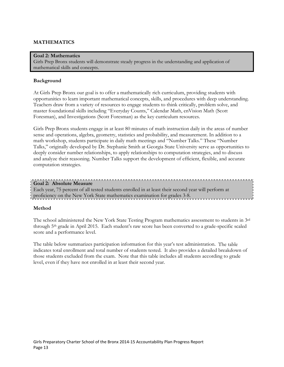# **MATHEMATICS**

#### **Goal 2: Mathematics**

Girls Prep Bronx students will demonstrate steady progress in the understanding and application of mathematical skills and concepts.

#### **Background**

At Girls Prep Bronx our goal is to offer a mathematically rich curriculum, providing students with opportunities to learn important mathematical concepts, skills, and procedures with deep understanding. Teachers draw from a variety of resources to engage students to think critically, problem solve, and master foundational skills including "Everyday Counts," Calendar Math, enVision Math (Scott Foresman), and Investigations (Scott Foresman) as the key curriculum resources.

Girls Prep Bronx students engage in at least 80 minutes of math instruction daily in the areas of number sense and operations, algebra, geometry, statistics and probability, and measurement. In addition to a math workshop, students participate in daily math meetings and "Number Talks." These "Number Talks," originally developed by Dr. Stephanie Smith at Georgia State University serve as opportunities to deeply consider number relationships, to apply relationships to computation strategies, and to discuss and analyze their reasoning. Number Talks support the development of efficient, flexible, and accurate computation strategies.

#### **Goal 2: Absolute Measure**

Each year, 75 percent of all tested students enrolled in at least their second year will perform at proficiency on the New York State mathematics examination for grades 3-8.

#### **Method**

The school administered the New York State Testing Program mathematics assessment to students in 3rd through 5th grade in April 2015. Each student's raw score has been converted to a grade-specific scaled score and a performance level.

The table below summarizes participation information for this year's test administration. The table indicates total enrollment and total number of students tested. It also provides a detailed breakdown of those students excluded from the exam. Note that this table includes all students according to grade level, even if they have not enrolled in at least their second year.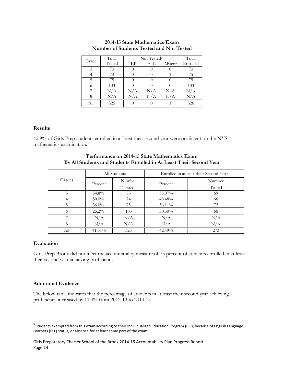| Grade | Total     | Not Tested <sup>5</sup> | Total |        |          |
|-------|-----------|-------------------------|-------|--------|----------|
|       | Tested    | IEP                     | ELL   | Absent | Enrolled |
| 3     | 73        |                         |       |        | 73       |
|       | 74        |                         |       |        | 75       |
| 5     | 75        |                         |       |        | 75       |
| 6     | 103       |                         |       |        | 103      |
|       | $\rm N/A$ | N/A                     | N/A   | N/A    | N/A      |
| 8     | N/A       | N/A                     | N/A   | N/A    | N/A      |
| Аll   | 325       |                         |       |        | 326      |

# **2014-15 State Mathematics Exam Number of Students Tested and Not Tested**

#### **Results**

42.9% of Girls Prep students enrolled in at least their second year were proficient on the NYS mathematics examination.

# **Performance on 2014-15 State Mathematics Exam By All Students and Students Enrolled in At Least Their Second Year**

|        | All Students |        | Enrolled in at least their Second Year |        |  |
|--------|--------------|--------|----------------------------------------|--------|--|
| Grades | Percent      | Number | Percent                                | Number |  |
|        |              | Tested |                                        | Tested |  |
| 3      | 54.8%        | 73     | 55.07%                                 | 69     |  |
|        | $50.0\%$     | 74     | 48.48%                                 | 66     |  |
|        | $36.0\%$     | 75     | $36.11\%$                              | 72     |  |
|        | $25.2\%$     | 103    | 30.30%                                 | 66     |  |
|        | N/A          | N/A    | N/A                                    | N/A    |  |
| 8      | N/A          | N/A    | N/A                                    | N/A    |  |
| All    | 41.51%       | 325    | 42.49%                                 | 273    |  |

#### **Evaluation**

 $\overline{a}$ 

Girls Prep Bronx did not meet the accountability measure of 75 percent of students enrolled in at least their second year achieving proficiency.

#### **Additional Evidence**

The below table indicates that the percentage of students in at least their second year achieving proficiency increased by 11.4% from 2012-13 to 2014-15.

<span id="page-14-0"></span><sup>&</sup>lt;sup>5</sup> Students exempted from this exam according to their Individualized Education Program (IEP), because of English Language Learners (ELL) status, or absence for at least some part of the exam.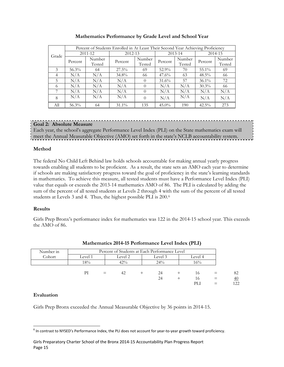|       | Percent of Students Enrolled in At Least Their Second Year Achieving Proficiency |         |          |          |          |         |          |         |
|-------|----------------------------------------------------------------------------------|---------|----------|----------|----------|---------|----------|---------|
|       |                                                                                  | 2011-12 | 2012-13  |          |          | 2013-14 |          | 2014-15 |
| Grade |                                                                                  | Number  |          | Number   |          | Number  |          | Number  |
|       | Percent                                                                          | Tested  | Percent  | Tested   | Percent  | Tested  | Percent  | Tested  |
| 3     | $56.3\%$                                                                         | 64      | $27.5\%$ | 69       | 52.9%    | 70      | 55.1%    | 69      |
| 4     | N/A                                                                              | N/A     | 34.8%    | 66       | 47.6%    | 63      | $48.5\%$ | 66      |
| 5     | N/A                                                                              | N/A     | N/A      | $\Omega$ | $31.6\%$ | 57      | $36.1\%$ | 72      |
| 6     | N/A                                                                              | N/A     | N/A      | $\Omega$ | N/A      | N/A     | $30.3\%$ | 66      |
| 7     | N/A                                                                              | N/A     | N/A      | $\theta$ | N/A      | N/A     | N/A      | N/A     |
| 8     | N/A                                                                              | N/A     | N/A      | $\Omega$ | N/A      | N/A     | N/A      | N/A     |
| All   | 56.3%                                                                            | 64      | $31.1\%$ | 135      | $45.0\%$ | 190     | $42.5\%$ | 273     |

#### **Mathematics Performance by Grade Level and School Year**

# **Goal 2: Absolute Measure**

Each year, the school's aggregate Performance Level Index (PLI) on the State mathematics exam will meet the Annual Measurable Objective (AMO) set forth in the state's NCLB accountability system.

#### **Method**

The federal No Child Left Behind law holds schools accountable for making annual yearly progress towards enabling all students to be proficient. As a result, the state sets an AMO each year to determine if schools are making satisfactory progress toward the goal of proficiency in the state's learning standards in mathematics. To achieve this measure, all tested students must have a Performance Level Index (PLI) value that equals or exceeds the 2013-14 mathematics AMO of 86. The PLI is calculated by adding the sum of the percent of all tested students at Levels 2 through 4 with the sum of the percent of all tested students at Levels 3 and 4. Thus, the highest possible PLI is 200.[6](#page-15-0)

# **Results**

Girls Prep Bronx's performance index for mathematics was 122 in the 2014-15 school year. This exceeds the AMO of 86.

| Number in |         | Percent of Students at Each Performance Level |     |  |     |  |         |     |     |
|-----------|---------|-----------------------------------------------|-----|--|-----|--|---------|-----|-----|
| Cohort    | Level 1 | Level 2<br>Level 3                            |     |  |     |  | Level 4 |     |     |
|           | 18%     |                                               | 42% |  | 24% |  | 16%     |     |     |
|           |         |                                               |     |  |     |  |         |     |     |
|           | РI      | $=$                                           | 42  |  | 24  |  | 16      | $=$ | 82  |
|           |         |                                               |     |  | 24  |  | 16      | $=$ | 40  |
|           |         |                                               |     |  |     |  | PL 1    | $=$ | 122 |

# **Mathematics 2014-15 Performance Level Index (PLI)**

#### **Evaluation**

Girls Prep Bronx exceeded the Annual Measurable Objective by 36 points in 2014-15.

<span id="page-15-0"></span> $<sup>6</sup>$  In contrast to NYSED's Performance Index, the PLI does not account for year-to-year growth toward proficiency.</sup>  $\overline{a}$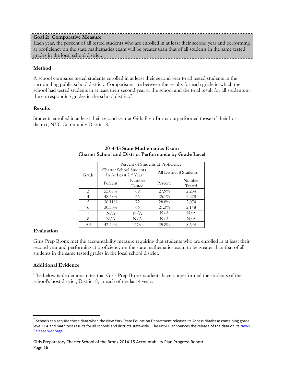## **Method**

A school compares tested students enrolled in at least their second year to all tested students in the surrounding public school district. Comparisons are between the results for each grade in which the school had tested students in at least their second year at the school and the total result for all students at the corresponding grades in the school district.[7](#page-16-0)

#### **Results**

Students enrolled in at least their second year at Girls Prep Bronx outperformed those of their host district, NYC Community District 8.

|       | Percent of Students at Proficiency |                                                                    |                         |                  |  |  |  |
|-------|------------------------------------|--------------------------------------------------------------------|-------------------------|------------------|--|--|--|
| Grade |                                    | <b>Charter School Students</b><br>In At Least 2 <sup>nd</sup> Year | All District 8 Students |                  |  |  |  |
|       | Percent                            | Number<br>Tested                                                   | Percent                 | Number<br>Tested |  |  |  |
| 3     | 55.07%                             | 69                                                                 | $27.9\%$                | 2,234            |  |  |  |
| 4     | 48.48%                             | 66                                                                 | $25.1\%$                | 2,278            |  |  |  |
| 5     | 36.11%                             | 72                                                                 | 28.8%                   | 2,074            |  |  |  |
| 6     | 30.30%                             | 66                                                                 | 21.3%                   | 2,148            |  |  |  |
| 7     | N/A                                | N/A                                                                | N/A                     | N/A              |  |  |  |
| 8     | N/A<br>N/A                         |                                                                    | N/A                     | N/A              |  |  |  |
| All   | 42.49%                             | 273                                                                | 25.8%                   | 8,644            |  |  |  |

### **2014-15 State Mathematics Exam Charter School and District Performance by Grade Level**

# **Evaluation**

 $\overline{a}$ 

Girls Prep Bronx met the accountability measure requiring that students who are enrolled in at least their second year and performing at proficiency on the state mathematics exam to be greater than that of all students in the same tested grades in the local school district.

# **Additional Evidence**

The below table demonstrates that Girls Prep Bronx students have outperformed the students of the school's host district, District 8, in each of the last 4 years.

<span id="page-16-0"></span> $7$  Schools can acquire these data when the New York State Education Department releases its Access database containing grade level ELA and math test results for all schools and districts statewide. The NYSED announces the release of the data on its News [Release webpage.](http://www.oms.nysed.gov/press/)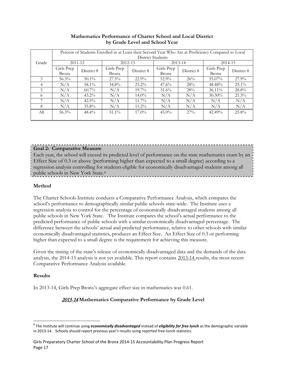|            | Percent of Students Enrolled in at Least their Second Year Who Are at Proficiency Compared to Local<br><b>District Students</b> |            |                            |            |                            |            |                            |            |
|------------|---------------------------------------------------------------------------------------------------------------------------------|------------|----------------------------|------------|----------------------------|------------|----------------------------|------------|
| Grade      | 2011-12                                                                                                                         |            | 2012-13                    |            |                            | 2013-14    | 2014-15                    |            |
|            | Girls Prep<br>Bronx                                                                                                             | District 8 | Girls Prep<br><b>Bronx</b> | District 8 | Girls Prep<br><b>Bronx</b> | District 8 | Girls Prep<br><b>Bronx</b> | District 8 |
| 3          | $56.3\%$                                                                                                                        | $50.1\%$   | $27.5\%$                   | $22.9\%$   | $52.9\%$                   | 26%        | 55.07%                     | $27.9\%$   |
| 4          | N/A                                                                                                                             | 58.1%      | 34.8%                      | $23.2\%$   | $47.6\%$                   | 28%        | 48.48%                     | $25.1\%$   |
| 5          | N/A                                                                                                                             | $60.7\%$   | N/A                        | $19.7\%$   | $31.6\%$                   | 28%        | $36.11\%$                  | 28.8%      |
| $^{\circ}$ | N/A                                                                                                                             | $43.2\%$   | N/A                        | $14.0\%$   | N/A                        | N/A        | $30.30\%$                  | $21.3\%$   |
|            | N/A                                                                                                                             | $42.5\%$   | N/A                        | $11.7\%$   | N/A                        | N/A        | N/A                        | N/A        |
| 8          | N/A                                                                                                                             | 35.8%      | N/A                        | $11.2\%$   | N/A                        | N/A        | N/A                        | N/A        |
| All        | 56.3%                                                                                                                           | $48.4\%$   | $31.1\%$                   | $17.0\%$   | $45.0\%$                   | $27\%$     | 42.49%                     | 25.8%      |

#### **Mathematics Performance of Charter School and Local District by Grade Level and School Year**

# **Goal 2: Comparative Measure**

Each year, the school will exceed its predicted level of performance on the state mathematics exam by an Effect Size of 0.3 or above (performing higher than expected to a small degree) according to a regression analysis controlling for students eligible for economically disadvantaged students among all public schools in New York State.[8](#page-17-0)

# **Method**

The Charter Schools Institute conducts a Comparative Performance Analysis, which compares the school's performance to demographically similar public schools state-wide. The Institute uses a regression analysis to control for the percentage of economically disadvantaged students among all public schools in New York State. The Institute compares the school's actual performance to the predicted performance of public schools with a similar economically disadvantaged percentage. The difference between the schools' actual and predicted performance, relative to other schools with similar economically disadvantaged statistics, produces an Effect Size. An Effect Size of 0.3 or performing higher than expected to a small degree is the requirement for achieving this measure.

Given the timing of the state's release of economically disadvantaged data and the demands of the data analysis, the 2014-15 analysis is not yet available. This report contains 2013-14 results, the most recent Comparative Performance Analysis available.

# **Results**

In 2013-14, Girls Prep Bronx's aggregate effect size in mathematics was 0.61.

# 2013-14 **Mathematics Comparative Performance by Grade Level**

<span id="page-17-0"></span><sup>8</sup> The Institute will continue using *economically disadvantaged* instead of *eligibility for free lunch* as the demographic variable in 2013-14. Schools should report previous year's results using reported free-lunch statistics.  $\overline{a}$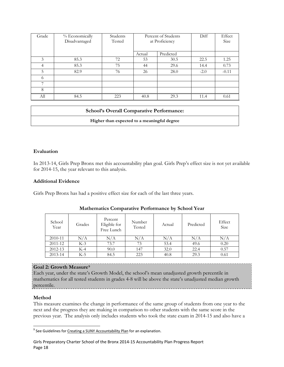| Grade | % Economically<br>Disadvantaged | Students<br>Tested | Percent of Students<br>at Proficiency |           | Diff   | Effect<br>Size |
|-------|---------------------------------|--------------------|---------------------------------------|-----------|--------|----------------|
|       |                                 |                    | Actual                                | Predicted |        |                |
| 3     | 85.3                            | 72                 | 53                                    | 30.5      | 22.5   | 1.25           |
| 4     | 85.3                            | 75                 | 44                                    | 29.6      | 14.4   | 0.73           |
| 5     | 82.9                            | 76                 | 26                                    | 28.0      | $-2.0$ | $-0.11$        |
| 6     |                                 |                    |                                       |           |        |                |
| 7     |                                 |                    |                                       |           |        |                |
| 8     |                                 |                    |                                       |           |        |                |
| All   | 84.5                            | 223                | 40.8                                  | 29.3      | 11.4   | 0.61           |

| <b>School's Overall Comparative Performance:</b> |  |
|--------------------------------------------------|--|
| Higher than expected to a meaningful degree      |  |

#### **Evaluation**

In 2013-14, Girls Prep Bronx met this accountability plan goal. Girls Prep's effect size is not yet available for 2014-15, the year relevant to this analysis.

#### **Additional Evidence**

Girls Prep Bronx has had a positive effect size for each of the last three years.

| School<br>Year | Grades | Percent<br>Eligible for<br>Free Lunch | Number<br>Tested | Actual | Predicted | Effect<br>Size |
|----------------|--------|---------------------------------------|------------------|--------|-----------|----------------|
| 2010-11        | N/A    | N/A                                   | N/A              | N/A    | N/A       | $\rm N/A$      |
| 2011-12        | $K-3$  | 73.7                                  | 73               | 53.4   | 49.6      | 0.20           |
| 2012-13        | K-4    | 90.0                                  | 147              | 32.0   | 22.4      | 0.57           |
| $2013 - 14$    | K-5    | 84.5                                  | 223              | 40.8   | 29.3      | 0.61           |

#### **Mathematics Comparative Performance by School Year**

#### **Goal 2: Growth Measure[9](#page-18-0)**

Each year, under the state's Growth Model, the school's mean unadjusted growth percentile in mathematics for all tested students in grades 4-8 will be above the state's unadjusted median growth percentile. 

#### **Method**

This measure examines the change in performance of the same group of students from one year to the next and the progress they are making in comparison to other students with the same score in the previous year. The analysis only includes students who took the state exam in 2014-15 and also have a

<span id="page-18-0"></span><sup>&</sup>lt;sup>9</sup> See Guidelines for *Creating [a SUNY Accountability Plan](http://www.newyorkcharters.org/operate/first-year-schools/accountability-plan/)* for an explanation.  $\overline{a}$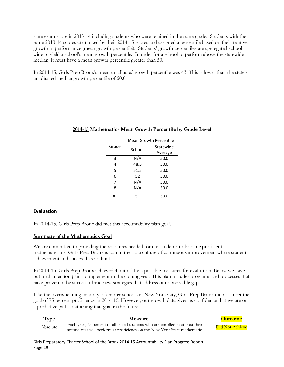state exam score in 2013-14 including students who were retained in the same grade. Students with the same 2013-14 scores are ranked by their 2014-15 scores and assigned a percentile based on their relative growth in performance (mean growth percentile). Students' growth percentiles are aggregated schoolwide to yield a school's mean growth percentile. In order for a school to perform above the statewide median, it must have a mean growth percentile greater than 50.

In 2014-15, Girls Prep Bronx's mean unadjusted growth percentile was 43. This is lower than the state's unadjusted median growth percentile of 50.0

|       | <b>Mean Growth Percentile</b> |           |  |
|-------|-------------------------------|-----------|--|
| Grade | School                        | Statewide |  |
|       |                               | Average   |  |
| 3     | N/A                           | 50.0      |  |
| 4     | 48.5                          | 50.0      |  |
| 5     | 51.5                          | 50.0      |  |
| 6     | 52                            | 50.0      |  |
| 7     | N/A                           | 50.0      |  |
| 8     | N/A                           | 50.0      |  |
| All   | 51                            | 50.0      |  |

# **2014-15 Mathematics Mean Growth Percentile by Grade Level**

# **Evaluation**

In 2014-15, Girls Prep Bronx did met this accountability plan goal.

# **Summary of the Mathematics Goal**

We are committed to providing the resources needed for our students to become proficient mathematicians. Girls Prep Bronx is committed to a culture of continuous improvement where student achievement and success has no limit.

In 2014-15, Girls Prep Bronx achieved 4 out of the 5 possible measures for evaluation. Below we have outlined an action plan to implement in the coming year. This plan includes programs and processes that have proven to be successful and new strategies that address our observable gaps.

Like the overwhelming majority of charter schools in New York City, Girls Prep Bronx did not meet the goal of 75 percent proficiency in 2014-15. However, our growth data gives us confidence that we are on a predictive path to attaining that goal in the future.

| Type     | <b>Measure</b>                                                                                                                                               | Outcome         |
|----------|--------------------------------------------------------------------------------------------------------------------------------------------------------------|-----------------|
| Absolute | Each year, 75 percent of all tested students who are enrolled in at least their<br>second year will perform at proficiency on the New York State mathematics | Did Not Achieve |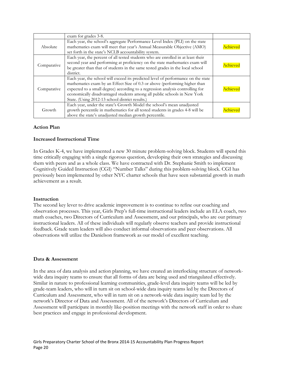|             | exam for grades 3-8.                                                                                                                                                                                                                                                                                                                                                             |          |
|-------------|----------------------------------------------------------------------------------------------------------------------------------------------------------------------------------------------------------------------------------------------------------------------------------------------------------------------------------------------------------------------------------|----------|
| Absolute    | Each year, the school's aggregate Performance Level Index (PLI) on the state<br>mathematics exam will meet that year's Annual Measurable Objective (AMO)<br>set forth in the state's NCLB accountability system.                                                                                                                                                                 | Achieved |
| Comparative | Each year, the percent of all tested students who are enrolled in at least their<br>second year and performing at proficiency on the state mathematics exam will<br>be greater than that of students in the same tested grades in the local school<br>district.                                                                                                                  | Achieved |
| Comparative | Each year, the school will exceed its predicted level of performance on the state<br>mathematics exam by an Effect Size of 0.3 or above (performing higher than<br>expected to a small degree) according to a regression analysis controlling for<br>economically disadvantaged students among all public schools in New York<br>State. (Using 2012-13 school district results.) | Achieved |
| Growth      | Each year, under the state's Growth Model the school's mean unadjusted<br>growth percentile in mathematics for all tested students in grades 4-8 will be<br>above the state's unadjusted median growth percentile.                                                                                                                                                               | Achieved |

#### **Action Plan**

#### **Increased Instructional Time**

In Grades K-4, we have implemented a new 30 minute problem-solving block. Students will spend this time critically engaging with a single rigorous question, developing their own strategies and discussing them with peers and as a whole class. We have contracted with Dr. Stephanie Smith to implement Cognitively Guided Instruction (CGI) "Number Talks" during this problem-solving block. CGI has previously been implemented by other NYC charter schools that have seen substantial growth in math achievement as a result.

#### **Instruction**

The second key lever to drive academic improvement is to continue to refine our coaching and observation processes. This year, Girls Prep's full-time instructional leaders include an ELA coach, two math coaches, two Directors of Curriculum and Assessment, and our principals, who are our primary instructional leaders. All of these individuals will regularly observe teachers and provide instructional feedback. Grade team leaders will also conduct informal observations and peer observations. All observations will utilize the Danielson framework as our model of excellent teaching.

#### **Data & Assessment**

In the area of data analysis and action planning, we have created an interlocking structure of networkwide data inquiry teams to ensure that all forms of data are being used and triangulated effectively. Similar in nature to professional learning communities, grade-level data inquiry teams will be led by grade-team leaders, who will in turn sit on school-wide data inquiry teams led by the Directors of Curriculum and Assessment, who will in turn sit on a network-wide data inquiry team led by the network's Director of Data and Assessment. All of the network's Directors of Curriculum and Assessment will participate in monthly like-position meetings with the network staff in order to share best practices and engage in professional development.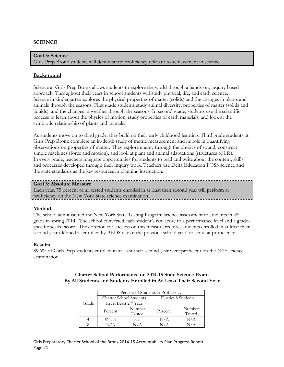#### **SCIENCE**

**Goal 3: Science** Girls Prep Bronx students will demonstrate proficiency relevant to achievement in science.

#### **Background**

Science at Girls Prep Bronx allows students to explore the world through a hands-on, inquiry based approach. Throughout their years in school students will study physical, life, and earth science. Science in kindergarten explores the physical properties of matter (solids) and the changes in plants and animals through the seasons. First grade students study animal diversity, properties of matter (solids and liquids), and the changes in weather through the seasons. In second grade, students use the scientific process to learn about the physics of motion, study properties of earth materials, and look at the symbiotic relationship of plants and animals.

As students move on to third grade, they build on their early childhood learning. Third grade students at Girls Prep Bronx complete an in-depth study of metric measurement and its role in quantifying observations on properties of matter. They explore energy through the physics of sound, construct simple machines (force and motion), and look at plant and animal adaptations (structures of life). In every grade, teachers integrate opportunities for students to read and write about the content, skills, and processes developed through their inquiry work. Teachers use Delta Education FOSS science and the state standards as the key resources in planning instruction.

#### **Goal 3: Absolute Measure**

Each year, 75 percent of all tested students enrolled in at least their second year will perform at proficiency on the New York State science examination.

#### **Method**

The school administered the New York State Testing Program science assessment to students in 4th grade in spring 2014. The school converted each student's raw score to a performance level and a gradespecific scaled score. The criterion for success on this measure requires students enrolled in at least their second year (defined as enrolled by BEDS day of the previous school year) to score at proficiency.

#### **Results**

89.6% of Girls Prep students enrolled in at least their second year were proficient on the NYS science examination.

| Percent of Students at Proficiency |         |                                  |                     |        |  |  |
|------------------------------------|---------|----------------------------------|---------------------|--------|--|--|
| Charter School Students            |         |                                  | District 8 Students |        |  |  |
| Grade                              |         | In At Least 2 <sup>nd</sup> Year |                     |        |  |  |
|                                    | Percent | Number                           |                     | Number |  |  |
|                                    |         | Tested                           | Percent             | Tested |  |  |
|                                    | 89.6%   |                                  | N/A                 | N/A    |  |  |
|                                    |         |                                  |                     |        |  |  |

#### **Charter School Performance on 2014-15 State Science Exam By All Students and Students Enrolled in At Least Their Second Year**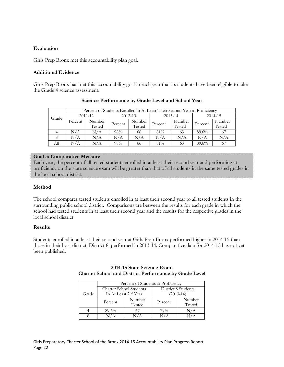## **Evaluation**

Girls Prep Bronx met this accountability plan goal.

#### **Additional Evidence**

Girls Prep Bronx has met this accountability goal in each year that its students have been eligible to take the Grade 4 science assessment.

|                      | Percent of Students Enrolled in At Least Their Second Year at Proficiency |           |         |         |                        |        |         |        |
|----------------------|---------------------------------------------------------------------------|-----------|---------|---------|------------------------|--------|---------|--------|
| $2011 - 12$<br>Grade |                                                                           |           |         | 2012-13 | $2013 - 14$<br>2014-15 |        |         |        |
|                      | Percent                                                                   | Number    |         | Number  |                        | Number | Percent | Number |
|                      |                                                                           | Tested    | Percent | Tested  | Percent                | Tested |         | Tested |
|                      | N/A                                                                       | N/A       | 98%     | 66      | $81\%$                 | 63     | 89.6%   | 67     |
|                      | N/A                                                                       | $\rm N/A$ | N/A     | N/A     | N/A                    | N/A    | N/A     | N/A    |
| All                  | N/A                                                                       | N/A       | 98%     | 66      | 81%                    | 63     | 89.6%   | 67     |

# **Science Performance by Grade Level and School Year**

#### **Goal 3: Comparative Measure**

Each year, the percent of all tested students enrolled in at least their second year and performing at proficiency on the state science exam will be greater than that of all students in the same tested grades in the local school district.

#### **Method**

The school compares tested students enrolled in at least their second year to all tested students in the surrounding public school district. Comparisons are between the results for each grade in which the school had tested students in at least their second year and the results for the respective grades in the local school district.

#### **Results**

Students enrolled in at least their second year at Girls Prep Bronx performed higher in 2014-15 than those in their host district, District 8, performed in 2013-14. Comparative data for 2014-15 has not yet been published.

|       |         |                                  | Percent of Students at Proficiency |        |  |  |
|-------|---------|----------------------------------|------------------------------------|--------|--|--|
|       |         | Charter School Students          | District 8 Students<br>(2013-14)   |        |  |  |
| Grade |         | In At Least 2 <sup>nd</sup> Year |                                    |        |  |  |
|       | Percent | Number                           | Percent                            | Number |  |  |
|       |         | Tested                           |                                    | Tested |  |  |
|       | 89.6%   |                                  | 79%                                |        |  |  |
|       |         |                                  |                                    |        |  |  |

## **2014-15 State Science Exam Charter School and District Performance by Grade Level**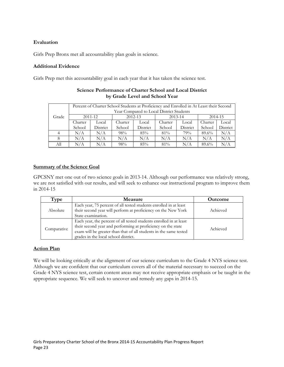# **Evaluation**

Girls Prep Bronx met all accountability plan goals in science.

#### **Additional Evidence**

Girls Prep met this accountability goal in each year that it has taken the science test.

|       |         | Percent of Charter School Students at Proficiency and Enrolled in At Least their Second |         |             |         |             |         |          |
|-------|---------|-----------------------------------------------------------------------------------------|---------|-------------|---------|-------------|---------|----------|
|       |         | Year Compared to Local District Students                                                |         |             |         |             |         |          |
| Grade |         | $2011 - 12$                                                                             |         | $2012 - 13$ |         | $2013 - 14$ | 2014-15 |          |
|       | Charter | Local                                                                                   | Charter | Local       | Charter | Local       | Charter | Local    |
|       | School  | District                                                                                | School  | District    | School  | District    | School  | District |
|       | N/A     | N/A                                                                                     | 98%     | 85%         | 81%     | 79%         | 89.6%   | N/A      |
|       | N/A     | N/A                                                                                     | N/A     | N/A         | N/A     | N/A         | N/A     | N/A      |
| All   | N/A     | $\rm N/A$                                                                               | 98%     | 85%         | $81\%$  | N/A         | 89.6%   | N/A      |

# **Science Performance of Charter School and Local District by Grade Level and School Year**

# **Summary of the Science Goal**

GPCSNY met one out of two science goals in 2013-14. Although our performance was relatively strong, we are not satisfied with our results, and will seek to enhance our instructional program to improve them in 2014-15

| Type        | <b>Measure</b>                                                                                                                                                                                                                                  | <b>Outcome</b> |
|-------------|-------------------------------------------------------------------------------------------------------------------------------------------------------------------------------------------------------------------------------------------------|----------------|
| Absolute    | Each year, 75 percent of all tested students enrolled in at least<br>their second year will perform at proficiency on the New York<br>State examination.                                                                                        | Achieved       |
| Comparative | Each year, the percent of all tested students enrolled in at least<br>their second year and performing at proficiency on the state<br>exam will be greater than that of all students in the same tested<br>grades in the local school district. | Achieved       |

# **Action Plan**

We will be looking critically at the alignment of our science curriculum to the Grade 4 NYS science test. Although we are confident that our curriculum covers all of the material necessary to succeed on the Grade 4 NYS science test, certain content areas may not receive appropriate emphasis or be taught in the appropriate sequence. We will seek to uncover and remedy any gaps in 2014-15.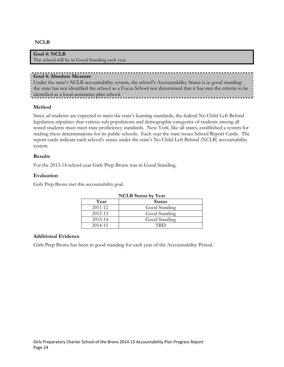# **NCLB**

## **Goal 4: NCLB** The school will be in Good Standing each year.

### **Goal 4: Absolute Measure**

Under the state's NCLB accountability system, the school's Accountability Status is in good standing: the state has not identified the school as a Focus School nor determined that it has met the criteria to be identified as a local-assistance-plan school.

#### **Method**

Since *all* students are expected to meet the state's learning standards, the federal No Child Left Behind legislation stipulates that various sub-populations and demographic categories of students among all tested students must meet state proficiency standards. New York, like all states, established a system for making these determinations for its public schools. Each year the state issues School Report Cards. The report cards indicate each school's status under the state's No Child Left Behind (NCLB) accountability system.

#### **Results**

For the 2013-14 school year Girls Prep Bronx was in Good Standing.

#### **Evaluation**

Girls Prep Bronx met this accountability goal.

| <b>NCLB</b> Status by Year |               |  |  |  |
|----------------------------|---------------|--|--|--|
| Year                       | <b>Status</b> |  |  |  |
| 2011-12                    | Good Standing |  |  |  |
| 2012-13                    | Good Standing |  |  |  |
| $2013 - 14$                | Good Standing |  |  |  |
| 2014-15                    | <b>TRD</b>    |  |  |  |

#### **Additional Evidence**

Girls Prep Bronx has been in good standing for each year of the Accountability Period.